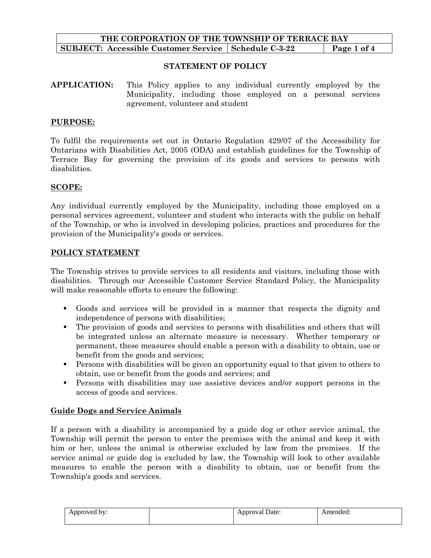## **THE CORPORATION OF THE TOWNSHIP OF TERRACE BAY SUBJECT:** Accessible Customer Service Schedule C-3-22 Page 1 of 4

### **STATEMENT OF POLICY**

**APPLICATION:** This Policy applies to any individual currently employed by the Municipality, including those employed on a personal services agreement, volunteer and student

### **PURPOSE:**

To fulfil the requirements set out in Ontario Regulation 429/07 of the Accessibility for Ontarians with Disabilities Act, 2005 (ODA) and establish guidelines for the Township of Terrace Bay for governing the provision of its goods and services to persons with disabilities.

#### **SCOPE:**

Any individual currently employed by the Municipality, including those employed on a personal services agreement, volunteer and student who interacts with the public on behalf of the Township, or who is involved in developing policies, practices and procedures for the provision of the Municipality's goods or services.

#### **POLICY STATEMENT**

The Township strives to provide services to all residents and visitors, including those with disabilities. Through our Accessible Customer Service Standard Policy, the Municipality will make reasonable efforts to ensure the following:

- Goods and services will be provided in a manner that respects the dignity and independence of persons with disabilities;
- The provision of goods and services to persons with disabilities and others that will be integrated unless an alternate measure is necessary. Whether temporary or permanent, these measures should enable a person with a disability to obtain, use or benefit from the goods and services;
- Persons with disabilities will be given an opportunity equal to that given to others to obtain, use or benefit from the goods and services; and
- Persons with disabilities may use assistive devices and/or support persons in the access of goods and services.

#### **Guide Dogs and Service Animals**

If a person with a disability is accompanied by a guide dog or other service animal, the Township will permit the person to enter the premises with the animal and keep it with him or her, unless the animal is otherwise excluded by law from the premises. If the service animal or guide dog is excluded by law, the Township will look to other available measures to enable the person with a disability to obtain, use or benefit from the Township's goods and services.

| . bv:<br>\nnroved_<br>-<br>.<br>. . | $\sim$<br>********<br>al Date:<br>юa<br>$\ddot{\phantom{1}}$ | \mended |
|-------------------------------------|--------------------------------------------------------------|---------|
|                                     |                                                              |         |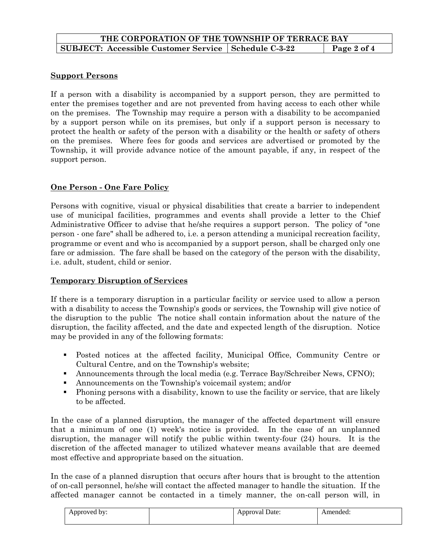# **Support Persons**

If a person with a disability is accompanied by a support person, they are permitted to enter the premises together and are not prevented from having access to each other while on the premises. The Township may require a person with a disability to be accompanied by a support person while on its premises, but only if a support person is necessary to protect the health or safety of the person with a disability or the health or safety of others on the premises. Where fees for goods and services are advertised or promoted by the Township, it will provide advance notice of the amount payable, if any, in respect of the support person.

# **One Person - One Fare Policy**

Persons with cognitive, visual or physical disabilities that create a barrier to independent use of municipal facilities, programmes and events shall provide a letter to the Chief Administrative Officer to advise that he/she requires a support person. The policy of "one person - one fare" shall be adhered to, i.e. a person attending a municipal recreation facility, programme or event and who is accompanied by a support person, shall be charged only one fare or admission. The fare shall be based on the category of the person with the disability, i.e. adult, student, child or senior.

## **Temporary Disruption of Services**

If there is a temporary disruption in a particular facility or service used to allow a person with a disability to access the Township's goods or services, the Township will give notice of the disruption to the public The notice shall contain information about the nature of the disruption, the facility affected, and the date and expected length of the disruption. Notice may be provided in any of the following formats:

- Posted notices at the affected facility, Municipal Office, Community Centre or Cultural Centre, and on the Township's website;
- Announcements through the local media (e.g. Terrace Bay/Schreiber News, CFNO);
- Announcements on the Township's voicemail system; and/or
- Phoning persons with a disability, known to use the facility or service, that are likely to be affected.

In the case of a planned disruption, the manager of the affected department will ensure that a minimum of one (1) week's notice is provided. In the case of an unplanned disruption, the manager will notify the public within twenty-four (24) hours. It is the discretion of the affected manager to utilized whatever means available that are deemed most effective and appropriate based on the situation.

In the case of a planned disruption that occurs after hours that is brought to the attention of on-call personnel, he/she will contact the affected manager to handle the situation. If the affected manager cannot be contacted in a timely manner, the on-call person will, in

| . bv:<br>Approved<br>. . | Date:<br>Approval '<br>. . | Amended: |
|--------------------------|----------------------------|----------|
|                          |                            |          |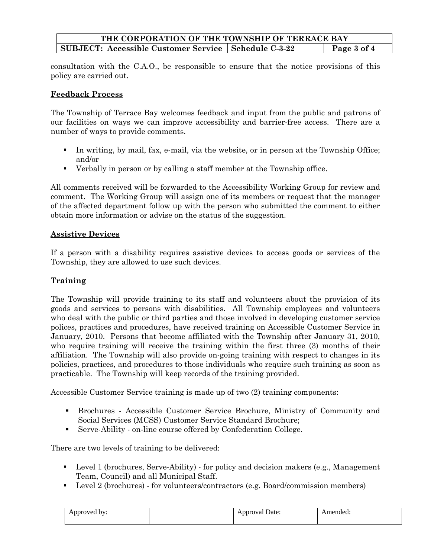# **THE CORPORATION OF THE TOWNSHIP OF TERRACE BAY SUBJECT:** Accessible Customer Service | Schedule C-3-22 | Page 3 of 4

consultation with the C.A.O., be responsible to ensure that the notice provisions of this policy are carried out.

## **Feedback Process**

The Township of Terrace Bay welcomes feedback and input from the public and patrons of our facilities on ways we can improve accessibility and barrier-free access. There are a number of ways to provide comments.

- In writing, by mail, fax, e-mail, via the website, or in person at the Township Office; and/or
- Verbally in person or by calling a staff member at the Township office.

All comments received will be forwarded to the Accessibility Working Group for review and comment. The Working Group will assign one of its members or request that the manager of the affected department follow up with the person who submitted the comment to either obtain more information or advise on the status of the suggestion.

### **Assistive Devices**

If a person with a disability requires assistive devices to access goods or services of the Township, they are allowed to use such devices.

## **Training**

The Township will provide training to its staff and volunteers about the provision of its goods and services to persons with disabilities. All Township employees and volunteers who deal with the public or third parties and those involved in developing customer service polices, practices and procedures, have received training on Accessible Customer Service in January, 2010. Persons that become affiliated with the Township after January 31, 2010, who require training will receive the training within the first three (3) months of their affiliation. The Township will also provide on-going training with respect to changes in its policies, practices, and procedures to those individuals who require such training as soon as practicable. The Township will keep records of the training provided.

Accessible Customer Service training is made up of two (2) training components:

- Brochures Accessible Customer Service Brochure, Ministry of Community and Social Services (MCSS) Customer Service Standard Brochure;
- Serve-Ability on-line course offered by Confederation College.

There are two levels of training to be delivered:

- Level 1 (brochures, Serve-Ability) for policy and decision makers (e.g., Management Team, Council) and all Municipal Staff.
- Level 2 (brochures) for volunteers/contractors (e.g. Board/commission members)

| Approved by:<br>. . | Date:<br>Approva!<br>. .<br>$ -$ | mended. |
|---------------------|----------------------------------|---------|
|                     |                                  |         |